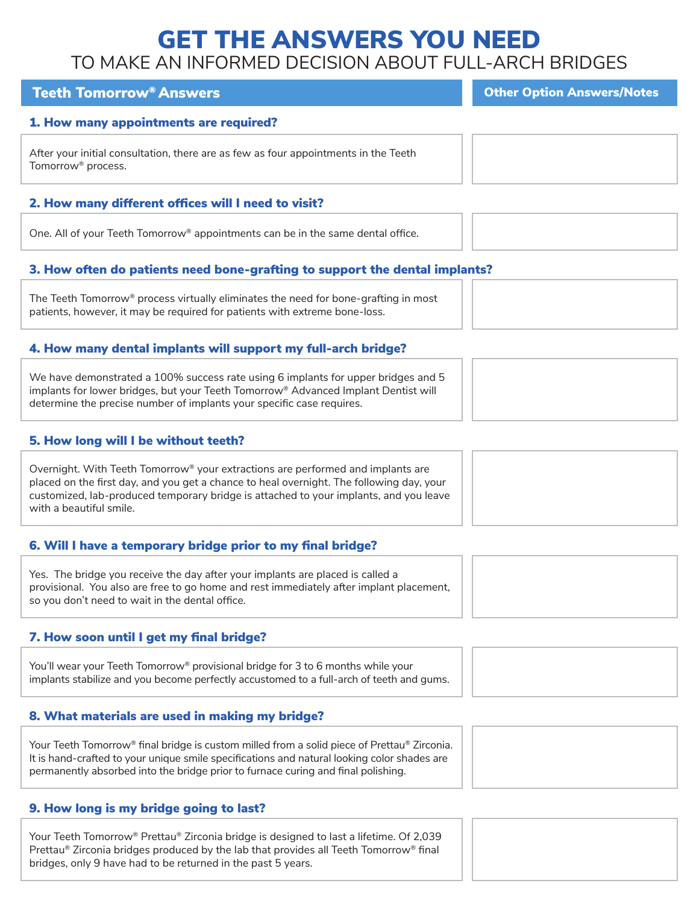# GET THE ANSWERS YOU NEED TO MAKE AN INFORMED DECISION ABOUT FULL-ARCH BRIDGES

# Teeth Tomorrow® Answers Communication And Teeth Tomorrow® Answers

# 1. How many appointments are required?

After your initial consultation, there are as few as four appointments in the Teeth Tomorrow® process.

# 2. How many different offices will I need to visit?

One. All of your Teeth Tomorrow® appointments can be in the same dental office.

# 3. How often do patients need bone-grafting to support the dental implants?

The Teeth Tomorrow® process virtually eliminates the need for bone-grafting in most patients, however, it may be required for patients with extreme bone-loss.

# 4. How many dental implants will support my full-arch bridge?

We have demonstrated a 100% success rate using 6 implants for upper bridges and 5 implants for lower bridges, but your Teeth Tomorrow® Advanced Implant Dentist will determine the precise number of implants your specific case requires.

# 5. How long will I be without teeth?

Overnight. With Teeth Tomorrow® your extractions are performed and implants are placed on the first day, and you get a chance to heal overnight. The following day, your customized, lab-produced temporary bridge is attached to your implants, and you leave with a beautiful smile.

# 6. Will I have a temporary bridge prior to my final bridge?

Yes. The bridge you receive the day after your implants are placed is called a provisional. You also are free to go home and rest immediately after implant placement, so you don't need to wait in the dental office.

# 7. How soon until I get my final bridge?

You'll wear your Teeth Tomorrow<sup>®</sup> provisional bridge for 3 to 6 months while your implants stabilize and you become perfectly accustomed to a full-arch of teeth and gums.

# 8. What materials are used in making my bridge?

Your Teeth Tomorrow® final bridge is custom milled from a solid piece of Prettau® Zirconia. It is hand-crafted to your unique smile specifications and natural looking color shades are permanently absorbed into the bridge prior to furnace curing and final polishing.

# 9. How long is my bridge going to last?

Your Teeth Tomorrow® Prettau® Zirconia bridge is designed to last a lifetime. Of 2,039 Prettau® Zirconia bridges produced by the lab that provides all Teeth Tomorrow® final bridges, only 9 have had to be returned in the past 5 years.